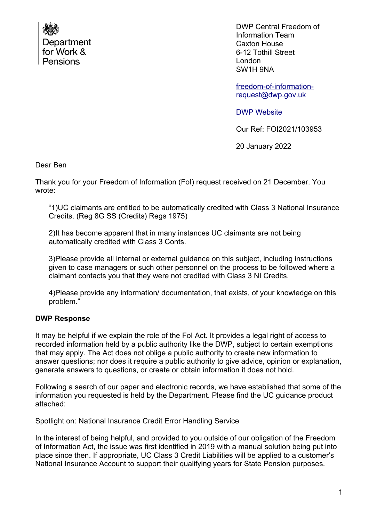

DWP Central Freedom of Information Team Caxton House 6-12 Tothill Street London SW1H 9NA

[freedom-of-information](mailto:freedom-of-information-request@dwp.gov.uk)[request@dwp.gov.uk](mailto:freedom-of-information-request@dwp.gov.uk)

[DWP Website](http://www.gov.uk/dwp)

Our Ref: FOI2021/103953

20 January 2022

Dear Ben

Thank you for your Freedom of Information (FoI) request received on 21 December. You wrote:

"1)UC claimants are entitled to be automatically credited with Class 3 National Insurance Credits. (Reg 8G SS (Credits) Regs 1975)

2)It has become apparent that in many instances UC claimants are not being automatically credited with Class 3 Conts.

3)Please provide all internal or external guidance on this subject, including instructions given to case managers or such other personnel on the process to be followed where a claimant contacts you that they were not credited with Class 3 NI Credits.

4)Please provide any information/ documentation, that exists, of your knowledge on this problem."

## **DWP Response**

It may be helpful if we explain the role of the FoI Act. It provides a legal right of access to recorded information held by a public authority like the DWP, subject to certain exemptions that may apply. The Act does not oblige a public authority to create new information to answer questions; nor does it require a public authority to give advice, opinion or explanation, generate answers to questions, or create or obtain information it does not hold.

Following a search of our paper and electronic records, we have established that some of the information you requested is held by the Department. Please find the UC guidance product attached:

Spotlight on: National Insurance Credit Error Handling Service

In the interest of being helpful, and provided to you outside of our obligation of the Freedom of Information Act, the issue was first identified in 2019 with a manual solution being put into place since then. If appropriate, UC Class 3 Credit Liabilities will be applied to a customer's National Insurance Account to support their qualifying years for State Pension purposes.